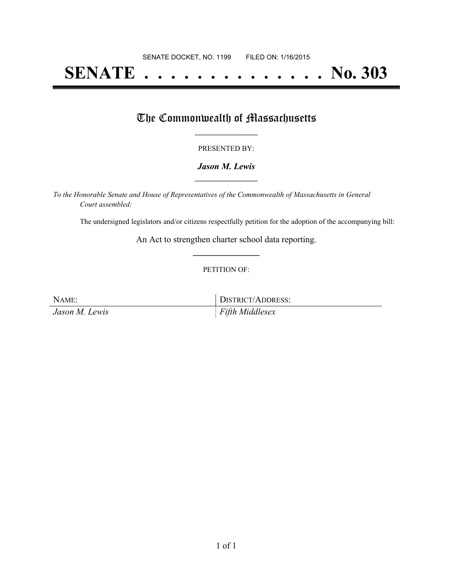# **SENATE . . . . . . . . . . . . . . No. 303**

### The Commonwealth of Massachusetts

#### PRESENTED BY:

#### *Jason M. Lewis* **\_\_\_\_\_\_\_\_\_\_\_\_\_\_\_\_\_**

*To the Honorable Senate and House of Representatives of the Commonwealth of Massachusetts in General Court assembled:*

The undersigned legislators and/or citizens respectfully petition for the adoption of the accompanying bill:

An Act to strengthen charter school data reporting. **\_\_\_\_\_\_\_\_\_\_\_\_\_\_\_**

#### PETITION OF:

NAME: DISTRICT/ADDRESS: *Jason M. Lewis Fifth Middlesex*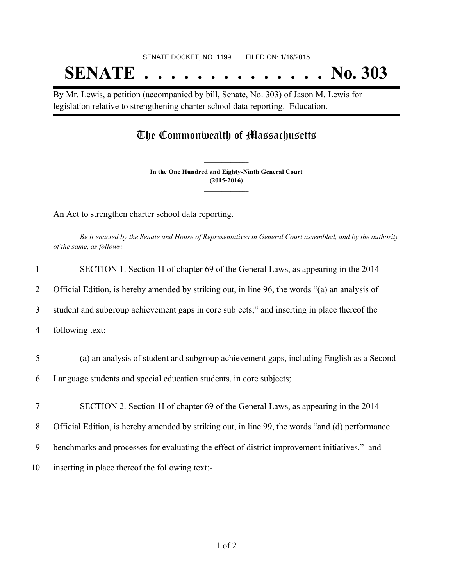# SENATE DOCKET, NO. 1199 FILED ON: 1/16/2015 **SENATE . . . . . . . . . . . . . . No. 303**

By Mr. Lewis, a petition (accompanied by bill, Senate, No. 303) of Jason M. Lewis for legislation relative to strengthening charter school data reporting. Education.

## The Commonwealth of Massachusetts

**In the One Hundred and Eighty-Ninth General Court (2015-2016) \_\_\_\_\_\_\_\_\_\_\_\_\_\_\_**

**\_\_\_\_\_\_\_\_\_\_\_\_\_\_\_**

An Act to strengthen charter school data reporting.

Be it enacted by the Senate and House of Representatives in General Court assembled, and by the authority *of the same, as follows:*

| 1      | SECTION 1. Section 1I of chapter 69 of the General Laws, as appearing in the 2014               |
|--------|-------------------------------------------------------------------------------------------------|
| 2      | Official Edition, is hereby amended by striking out, in line 96, the words "(a) an analysis of  |
| 3      | student and subgroup achievement gaps in core subjects;" and inserting in place thereof the     |
| 4      | following text:-                                                                                |
| 5      | (a) an analysis of student and subgroup achievement gaps, including English as a Second         |
| 6      | Language students and special education students, in core subjects;                             |
| $\tau$ | SECTION 2. Section 1I of chapter 69 of the General Laws, as appearing in the 2014               |
| 8      | Official Edition, is hereby amended by striking out, in line 99, the words "and (d) performance |
| 9      | benchmarks and processes for evaluating the effect of district improvement initiatives." and    |
| 10     | inserting in place thereof the following text:-                                                 |